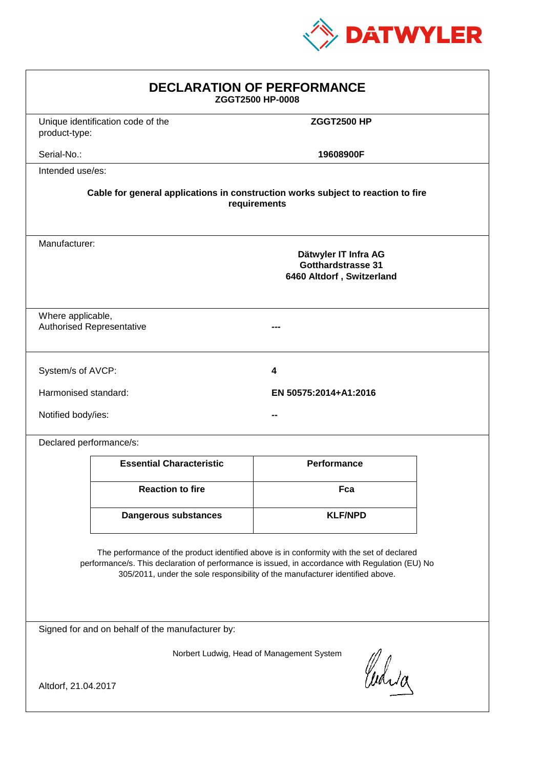

| <b>DECLARATION OF PERFORMANCE</b><br>ZGGT2500 HP-0008                                                                                                                                                                                                                         |                                   |                       |  |
|-------------------------------------------------------------------------------------------------------------------------------------------------------------------------------------------------------------------------------------------------------------------------------|-----------------------------------|-----------------------|--|
| product-type:                                                                                                                                                                                                                                                                 | Unique identification code of the | <b>ZGGT2500 HP</b>    |  |
| Serial-No.:                                                                                                                                                                                                                                                                   |                                   | 19608900F             |  |
| Intended use/es:                                                                                                                                                                                                                                                              |                                   |                       |  |
| Cable for general applications in construction works subject to reaction to fire<br>requirements                                                                                                                                                                              |                                   |                       |  |
| Manufacturer:<br>Dätwyler IT Infra AG<br>Gotthardstrasse 31<br>6460 Altdorf, Switzerland                                                                                                                                                                                      |                                   |                       |  |
| Where applicable,                                                                                                                                                                                                                                                             | <b>Authorised Representative</b>  |                       |  |
| System/s of AVCP:                                                                                                                                                                                                                                                             |                                   | 4                     |  |
| Harmonised standard:                                                                                                                                                                                                                                                          |                                   | EN 50575:2014+A1:2016 |  |
| Notified body/ies:                                                                                                                                                                                                                                                            |                                   |                       |  |
| Declared performance/s:                                                                                                                                                                                                                                                       |                                   |                       |  |
|                                                                                                                                                                                                                                                                               | <b>Essential Characteristic</b>   | <b>Performance</b>    |  |
|                                                                                                                                                                                                                                                                               | <b>Reaction to fire</b>           | Fca                   |  |
|                                                                                                                                                                                                                                                                               | Dangerous substances              | <b>KLF/NPD</b>        |  |
| The performance of the product identified above is in conformity with the set of declared<br>performance/s. This declaration of performance is issued, in accordance with Regulation (EU) No<br>305/2011, under the sole responsibility of the manufacturer identified above. |                                   |                       |  |
| Signed for and on behalf of the manufacturer by:                                                                                                                                                                                                                              |                                   |                       |  |
| Norbert Ludwig, Head of Management System<br>Curia<br>Altdorf, 21.04.2017                                                                                                                                                                                                     |                                   |                       |  |
|                                                                                                                                                                                                                                                                               |                                   |                       |  |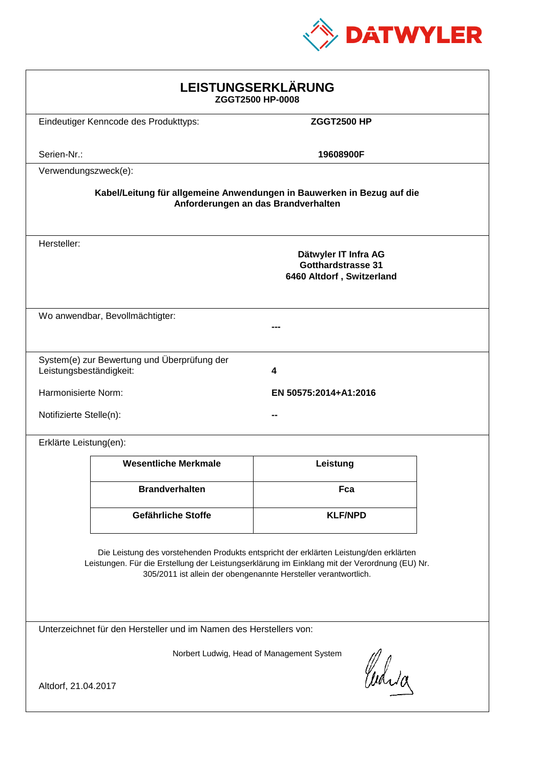

| LEISTUNGSERKLÄRUNG<br>ZGGT2500 HP-0008                                                                                                                                                                                                                     |                                       |                       |  |
|------------------------------------------------------------------------------------------------------------------------------------------------------------------------------------------------------------------------------------------------------------|---------------------------------------|-----------------------|--|
|                                                                                                                                                                                                                                                            | Eindeutiger Kenncode des Produkttyps: | <b>ZGGT2500 HP</b>    |  |
| Serien-Nr.:                                                                                                                                                                                                                                                |                                       | 19608900F             |  |
| Verwendungszweck(e):                                                                                                                                                                                                                                       |                                       |                       |  |
| Kabel/Leitung für allgemeine Anwendungen in Bauwerken in Bezug auf die<br>Anforderungen an das Brandverhalten                                                                                                                                              |                                       |                       |  |
| Hersteller:<br>Dätwyler IT Infra AG<br><b>Gotthardstrasse 31</b><br>6460 Altdorf, Switzerland                                                                                                                                                              |                                       |                       |  |
| Wo anwendbar, Bevollmächtigter:                                                                                                                                                                                                                            |                                       |                       |  |
| System(e) zur Bewertung und Überprüfung der<br>Leistungsbeständigkeit:<br>4                                                                                                                                                                                |                                       |                       |  |
| Harmonisierte Norm:                                                                                                                                                                                                                                        |                                       | EN 50575:2014+A1:2016 |  |
|                                                                                                                                                                                                                                                            | Notifizierte Stelle(n):               |                       |  |
| Erklärte Leistung(en):                                                                                                                                                                                                                                     |                                       |                       |  |
|                                                                                                                                                                                                                                                            | <b>Wesentliche Merkmale</b>           | Leistung              |  |
|                                                                                                                                                                                                                                                            | <b>Brandverhalten</b>                 | Fca                   |  |
|                                                                                                                                                                                                                                                            | Gefährliche Stoffe                    | <b>KLF/NPD</b>        |  |
| Die Leistung des vorstehenden Produkts entspricht der erklärten Leistung/den erklärten<br>Leistungen. Für die Erstellung der Leistungserklärung im Einklang mit der Verordnung (EU) Nr.<br>305/2011 ist allein der obengenannte Hersteller verantwortlich. |                                       |                       |  |
| Unterzeichnet für den Hersteller und im Namen des Herstellers von:                                                                                                                                                                                         |                                       |                       |  |
| Norbert Ludwig, Head of Management System<br>Cudia<br>Altdorf, 21.04.2017                                                                                                                                                                                  |                                       |                       |  |
|                                                                                                                                                                                                                                                            |                                       |                       |  |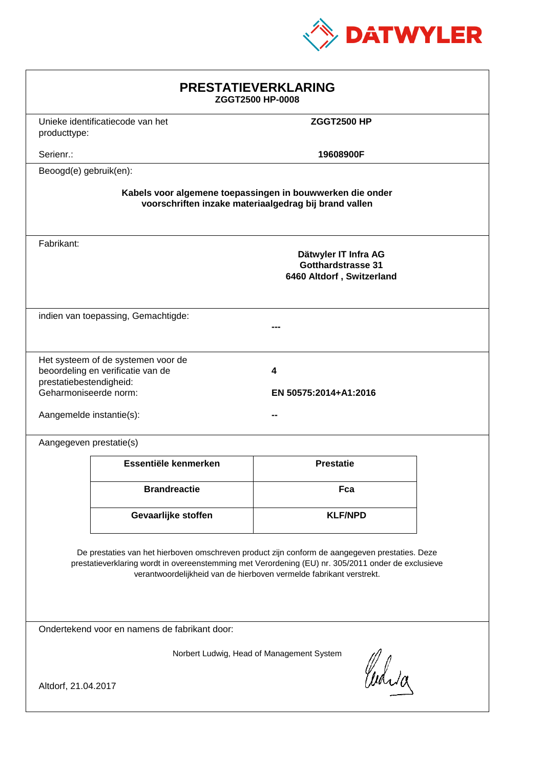

| <b>PRESTATIEVERKLARING</b><br>ZGGT2500 HP-0008                                                                                                                                                                                                                              |                                                        |                  |  |
|-----------------------------------------------------------------------------------------------------------------------------------------------------------------------------------------------------------------------------------------------------------------------------|--------------------------------------------------------|------------------|--|
| producttype:                                                                                                                                                                                                                                                                | Unieke identificatiecode van het<br><b>ZGGT2500 HP</b> |                  |  |
| Serienr.:                                                                                                                                                                                                                                                                   | 19608900F                                              |                  |  |
| Beoogd(e) gebruik(en):                                                                                                                                                                                                                                                      |                                                        |                  |  |
| Kabels voor algemene toepassingen in bouwwerken die onder<br>voorschriften inzake materiaalgedrag bij brand vallen                                                                                                                                                          |                                                        |                  |  |
| Fabrikant:<br>Dätwyler IT Infra AG<br><b>Gotthardstrasse 31</b><br>6460 Altdorf, Switzerland                                                                                                                                                                                |                                                        |                  |  |
| indien van toepassing, Gemachtigde:                                                                                                                                                                                                                                         |                                                        |                  |  |
| Het systeem of de systemen voor de<br>beoordeling en verificatie van de<br>4<br>prestatiebestendigheid:<br>Geharmoniseerde norm:<br>EN 50575:2014+A1:2016<br>Aangemelde instantie(s):                                                                                       |                                                        |                  |  |
| Aangegeven prestatie(s)                                                                                                                                                                                                                                                     |                                                        |                  |  |
|                                                                                                                                                                                                                                                                             | Essentiële kenmerken                                   | <b>Prestatie</b> |  |
|                                                                                                                                                                                                                                                                             | <b>Brandreactie</b>                                    | Fca              |  |
|                                                                                                                                                                                                                                                                             | Gevaarlijke stoffen                                    | <b>KLF/NPD</b>   |  |
| De prestaties van het hierboven omschreven product zijn conform de aangegeven prestaties. Deze<br>prestatieverklaring wordt in overeenstemming met Verordening (EU) nr. 305/2011 onder de exclusieve<br>verantwoordelijkheid van de hierboven vermelde fabrikant verstrekt. |                                                        |                  |  |
| Ondertekend voor en namens de fabrikant door:                                                                                                                                                                                                                               |                                                        |                  |  |
| Norbert Ludwig, Head of Management System<br>Curia<br>Altdorf, 21.04.2017                                                                                                                                                                                                   |                                                        |                  |  |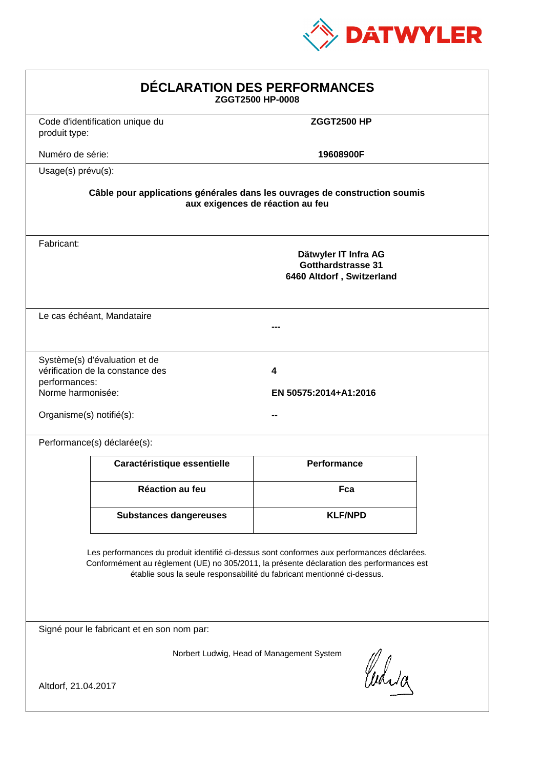

| DÉCLARATION DES PERFORMANCES<br>ZGGT2500 HP-0008                                                                                                                                                                                                                 |                                                                                |                            |  |
|------------------------------------------------------------------------------------------------------------------------------------------------------------------------------------------------------------------------------------------------------------------|--------------------------------------------------------------------------------|----------------------------|--|
| produit type:                                                                                                                                                                                                                                                    | Code d'identification unique du                                                | <b>ZGGT2500 HP</b>         |  |
| Numéro de série:                                                                                                                                                                                                                                                 |                                                                                | 19608900F                  |  |
| Usage(s) prévu(s):                                                                                                                                                                                                                                               |                                                                                |                            |  |
| Câble pour applications générales dans les ouvrages de construction soumis<br>aux exigences de réaction au feu                                                                                                                                                   |                                                                                |                            |  |
| Fabricant:                                                                                                                                                                                                                                                       | Dätwyler IT Infra AG<br><b>Gotthardstrasse 31</b><br>6460 Altdorf, Switzerland |                            |  |
|                                                                                                                                                                                                                                                                  | Le cas échéant, Mandataire                                                     |                            |  |
| performances:<br>Norme harmonisée:<br>Organisme(s) notifié(s):                                                                                                                                                                                                   | Système(s) d'évaluation et de<br>vérification de la constance des              | 4<br>EN 50575:2014+A1:2016 |  |
|                                                                                                                                                                                                                                                                  | Performance(s) déclarée(s):                                                    |                            |  |
|                                                                                                                                                                                                                                                                  | Caractéristique essentielle                                                    | <b>Performance</b>         |  |
|                                                                                                                                                                                                                                                                  | Réaction au feu                                                                | Fca                        |  |
|                                                                                                                                                                                                                                                                  | <b>Substances dangereuses</b>                                                  | <b>KLF/NPD</b>             |  |
| Les performances du produit identifié ci-dessus sont conformes aux performances déclarées.<br>Conformément au règlement (UE) no 305/2011, la présente déclaration des performances est<br>établie sous la seule responsabilité du fabricant mentionné ci-dessus. |                                                                                |                            |  |
| Signé pour le fabricant et en son nom par:                                                                                                                                                                                                                       |                                                                                |                            |  |
| Norbert Ludwig, Head of Management System<br>Curia<br>Altdorf, 21.04.2017                                                                                                                                                                                        |                                                                                |                            |  |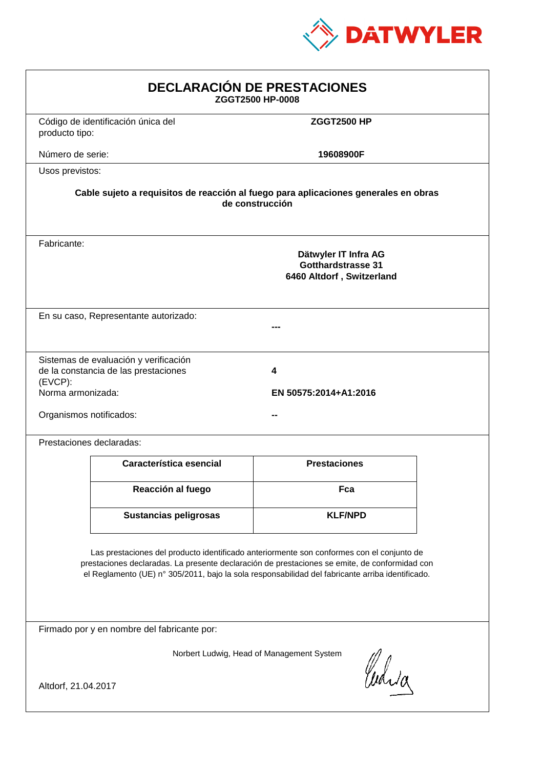

| <b>DECLARACIÓN DE PRESTACIONES</b><br>ZGGT2500 HP-0008                                                                                                                                                                                                                                         |                                                                                                                                                             |                     |  |  |
|------------------------------------------------------------------------------------------------------------------------------------------------------------------------------------------------------------------------------------------------------------------------------------------------|-------------------------------------------------------------------------------------------------------------------------------------------------------------|---------------------|--|--|
| producto tipo:                                                                                                                                                                                                                                                                                 | Código de identificación única del                                                                                                                          | <b>ZGGT2500 HP</b>  |  |  |
| Número de serie:                                                                                                                                                                                                                                                                               |                                                                                                                                                             | 19608900F           |  |  |
| Usos previstos:                                                                                                                                                                                                                                                                                |                                                                                                                                                             |                     |  |  |
| Cable sujeto a requisitos de reacción al fuego para aplicaciones generales en obras<br>de construcción                                                                                                                                                                                         |                                                                                                                                                             |                     |  |  |
| Fabricante:                                                                                                                                                                                                                                                                                    | Dätwyler IT Infra AG<br>Gotthardstrasse 31<br>6460 Altdorf, Switzerland                                                                                     |                     |  |  |
|                                                                                                                                                                                                                                                                                                | En su caso, Representante autorizado:                                                                                                                       |                     |  |  |
| (EVCP):                                                                                                                                                                                                                                                                                        | Sistemas de evaluación y verificación<br>de la constancia de las prestaciones<br>4<br>Norma armonizada:<br>EN 50575:2014+A1:2016<br>Organismos notificados: |                     |  |  |
|                                                                                                                                                                                                                                                                                                | Prestaciones declaradas:                                                                                                                                    |                     |  |  |
|                                                                                                                                                                                                                                                                                                | Característica esencial                                                                                                                                     | <b>Prestaciones</b> |  |  |
|                                                                                                                                                                                                                                                                                                | Reacción al fuego                                                                                                                                           | Fca                 |  |  |
|                                                                                                                                                                                                                                                                                                | <b>Sustancias peligrosas</b>                                                                                                                                | <b>KLF/NPD</b>      |  |  |
| Las prestaciones del producto identificado anteriormente son conformes con el conjunto de<br>prestaciones declaradas. La presente declaración de prestaciones se emite, de conformidad con<br>el Reglamento (UE) nº 305/2011, bajo la sola responsabilidad del fabricante arriba identificado. |                                                                                                                                                             |                     |  |  |
| Firmado por y en nombre del fabricante por:                                                                                                                                                                                                                                                    |                                                                                                                                                             |                     |  |  |
| Norbert Ludwig, Head of Management System<br>Curia<br>Altdorf, 21.04.2017                                                                                                                                                                                                                      |                                                                                                                                                             |                     |  |  |